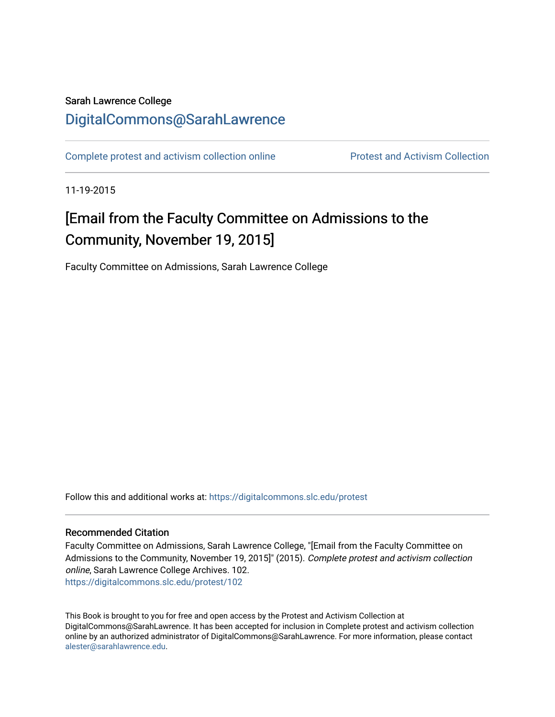## Sarah Lawrence College [DigitalCommons@SarahLawrence](https://digitalcommons.slc.edu/)

[Complete protest and activism collection online](https://digitalcommons.slc.edu/protest) **Protest and Activism Collection** 

11-19-2015

## [Email from the Faculty Committee on Admissions to the Community, November 19, 2015]

Faculty Committee on Admissions, Sarah Lawrence College

Follow this and additional works at: [https://digitalcommons.slc.edu/protest](https://digitalcommons.slc.edu/protest?utm_source=digitalcommons.slc.edu%2Fprotest%2F102&utm_medium=PDF&utm_campaign=PDFCoverPages) 

## Recommended Citation

Faculty Committee on Admissions, Sarah Lawrence College, "[Email from the Faculty Committee on Admissions to the Community, November 19, 2015]" (2015). Complete protest and activism collection online, Sarah Lawrence College Archives. 102. [https://digitalcommons.slc.edu/protest/102](https://digitalcommons.slc.edu/protest/102?utm_source=digitalcommons.slc.edu%2Fprotest%2F102&utm_medium=PDF&utm_campaign=PDFCoverPages) 

This Book is brought to you for free and open access by the Protest and Activism Collection at DigitalCommons@SarahLawrence. It has been accepted for inclusion in Complete protest and activism collection online by an authorized administrator of DigitalCommons@SarahLawrence. For more information, please contact [alester@sarahlawrence.edu.](mailto:alester@sarahlawrence.edu)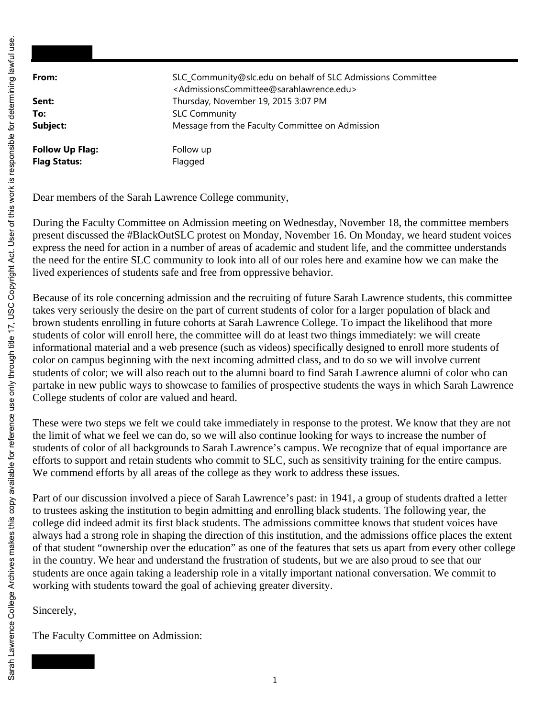| From:                                         | SLC_Community@slc.edu on behalf of SLC Admissions Committee<br><admissionscommittee@sarahlawrence.edu></admissionscommittee@sarahlawrence.edu> |
|-----------------------------------------------|------------------------------------------------------------------------------------------------------------------------------------------------|
| Sent:                                         | Thursday, November 19, 2015 3:07 PM                                                                                                            |
| To:                                           | <b>SLC Community</b>                                                                                                                           |
| Subject:                                      | Message from the Faculty Committee on Admission                                                                                                |
| <b>Follow Up Flag:</b><br><b>Flag Status:</b> | Follow up<br>Flagged                                                                                                                           |

Dear members of the Sarah Lawrence College community,

During the Faculty Committee on Admission meeting on Wednesday, November 18, the committee members present discussed the #BlackOutSLC protest on Monday, November 16. On Monday, we heard student voices express the need for action in a number of areas of academic and student life, and the committee understands the need for the entire SLC community to look into all of our roles here and examine how we can make the lived experiences of students safe and free from oppressive behavior.

Because of its role concerning admission and the recruiting of future Sarah Lawrence students, this committee takes very seriously the desire on the part of current students of color for a larger population of black and brown students enrolling in future cohorts at Sarah Lawrence College. To impact the likelihood that more students of color will enroll here, the committee will do at least two things immediately: we will create informational material and a web presence (such as videos) specifically designed to enroll more students of color on campus beginning with the next incoming admitted class, and to do so we will involve current students of color; we will also reach out to the alumni board to find Sarah Lawrence alumni of color who can partake in new public ways to showcase to families of prospective students the ways in which Sarah Lawrence College students of color are valued and heard.

These were two steps we felt we could take immediately in response to the protest. We know that they are not the limit of what we feel we can do, so we will also continue looking for ways to increase the number of students of color of all backgrounds to Sarah Lawrence's campus. We recognize that of equal importance are efforts to support and retain students who commit to SLC, such as sensitivity training for the entire campus. We commend efforts by all areas of the college as they work to address these issues.

Part of our discussion involved a piece of Sarah Lawrence's past: in 1941, a group of students drafted a letter to trustees asking the institution to begin admitting and enrolling black students. The following year, the college did indeed admit its first black students. The admissions committee knows that student voices have always had a strong role in shaping the direction of this institution, and the admissions office places the extent of that student "ownership over the education" as one of the features that sets us apart from every other college in the country. We hear and understand the frustration of students, but we are also proud to see that our students are once again taking a leadership role in a vitally important national conversation. We commit to working with students toward the goal of achieving greater diversity.

Sincerely,

The Faculty Committee on Admission: